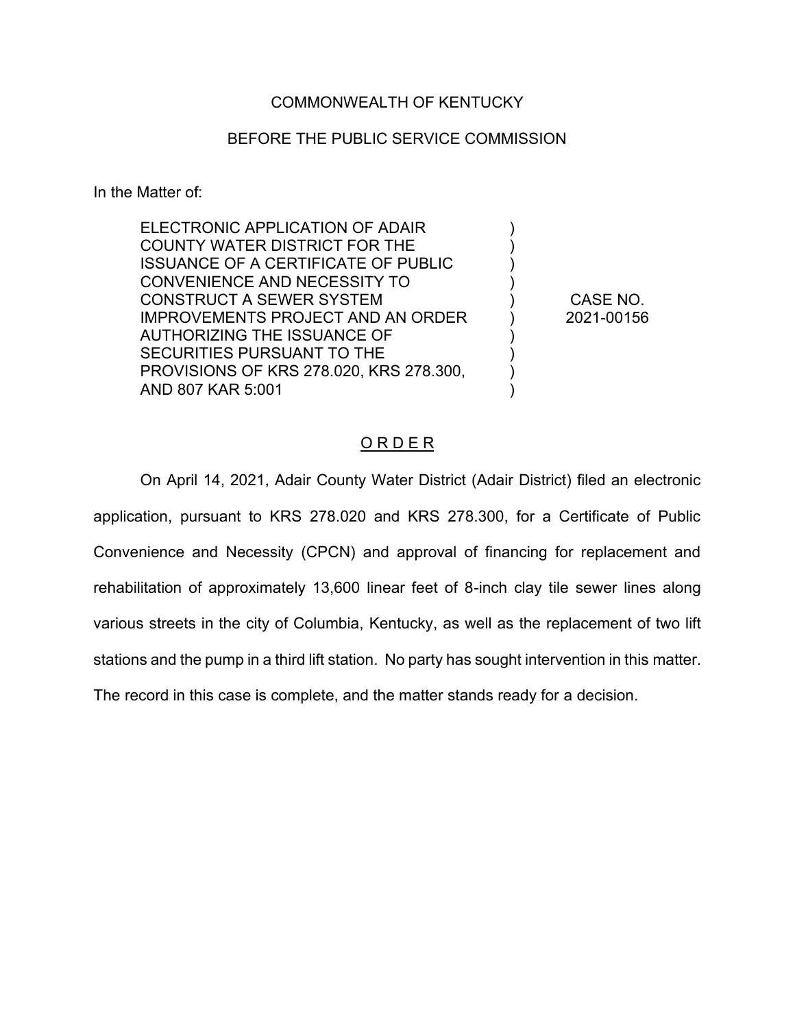# COMMONWEALTH OF KENTUCKY

# BEFORE THE PUBLIC SERVICE COMMISSION

In the Matter of:

| ELECTRONIC APPLICATION OF ADAIR            |            |
|--------------------------------------------|------------|
| <b>COUNTY WATER DISTRICT FOR THE</b>       |            |
| <b>ISSUANCE OF A CERTIFICATE OF PUBLIC</b> |            |
| CONVENIENCE AND NECESSITY TO               |            |
| <b>CONSTRUCT A SEWER SYSTEM</b>            | CASE NO.   |
| <b>IMPROVEMENTS PROJECT AND AN ORDER</b>   | 2021-00156 |
| AUTHORIZING THE ISSUANCE OF                |            |
| SECURITIES PURSUANT TO THE                 |            |
| PROVISIONS OF KRS 278.020, KRS 278.300,    |            |
| AND 807 KAR 5:001                          |            |
|                                            |            |

# O R D E R

On April 14, 2021, Adair County Water District (Adair District) filed an electronic application, pursuant to KRS 278.020 and KRS 278.300, for a Certificate of Public Convenience and Necessity (CPCN) and approval of financing for replacement and rehabilitation of approximately 13,600 linear feet of 8-inch clay tile sewer lines along various streets in the city of Columbia, Kentucky, as well as the replacement of two lift stations and the pump in a third lift station. No party has sought intervention in this matter. The record in this case is complete, and the matter stands ready for a decision.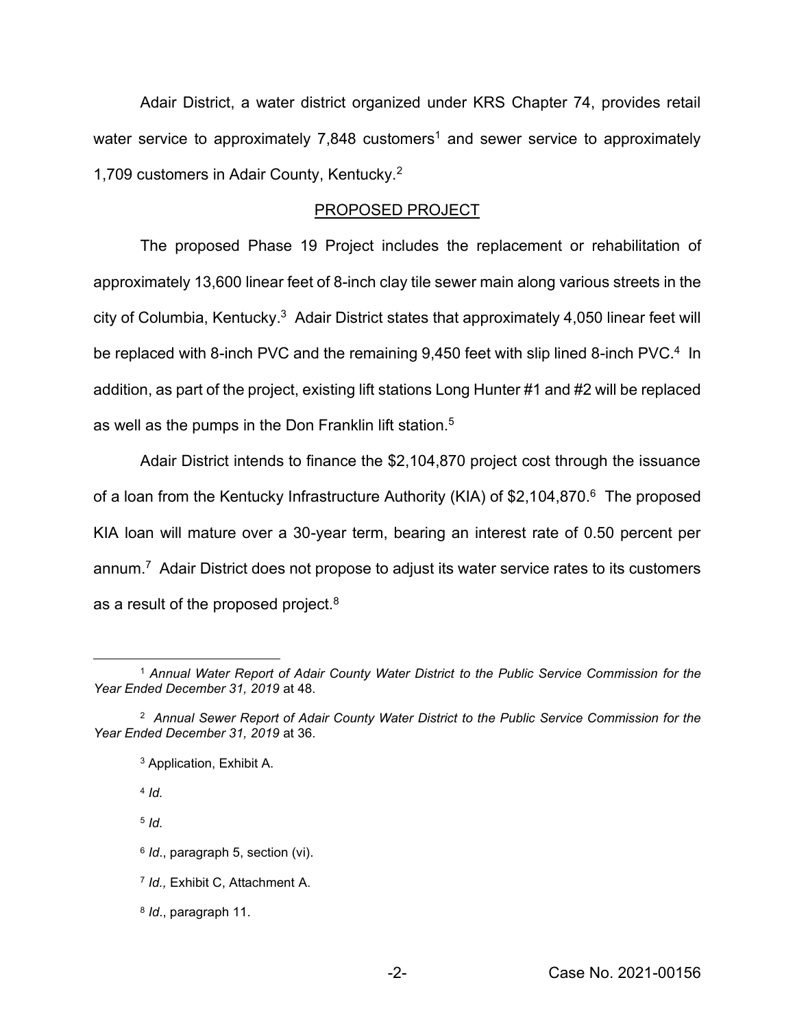Adair District, a water district organized under KRS Chapter 74, provides retail water service to approximately 7,848 customers<sup>1</sup> and sewer service to approximately 1,709 customers in Adair County, Kentucky.2

#### PROPOSED PROJECT

The proposed Phase 19 Project includes the replacement or rehabilitation of approximately 13,600 linear feet of 8-inch clay tile sewer main along various streets in the city of Columbia, Kentucky.<sup>3</sup> Adair District states that approximately 4,050 linear feet will be replaced with 8-inch PVC and the remaining 9,450 feet with slip lined 8-inch PVC.<sup>4</sup> In addition, as part of the project, existing lift stations Long Hunter #1 and #2 will be replaced as well as the pumps in the Don Franklin lift station.<sup>5</sup>

Adair District intends to finance the \$2,104,870 project cost through the issuance of a loan from the Kentucky Infrastructure Authority (KIA) of \$2,104,870.<sup>6</sup> The proposed KIA loan will mature over a 30-year term, bearing an interest rate of 0.50 percent per annum.7 Adair District does not propose to adjust its water service rates to its customers as a result of the proposed project.<sup>8</sup>

<sup>4</sup> *Id.*

<sup>5</sup> *Id.*

- <sup>6</sup> *Id*., paragraph 5, section (vi).
- <sup>7</sup> *Id.,* Exhibit C, Attachment A.
- <sup>8</sup> *Id*., paragraph 11.

<sup>1</sup> *Annual Water Report of Adair County Water District to the Public Service Commission for the Year Ended December 31, 2019* at 48.

<sup>2</sup> *Annual Sewer Report of Adair County Water District to the Public Service Commission for the Year Ended December 31, 2019* at 36.

<sup>3</sup> Application, Exhibit A.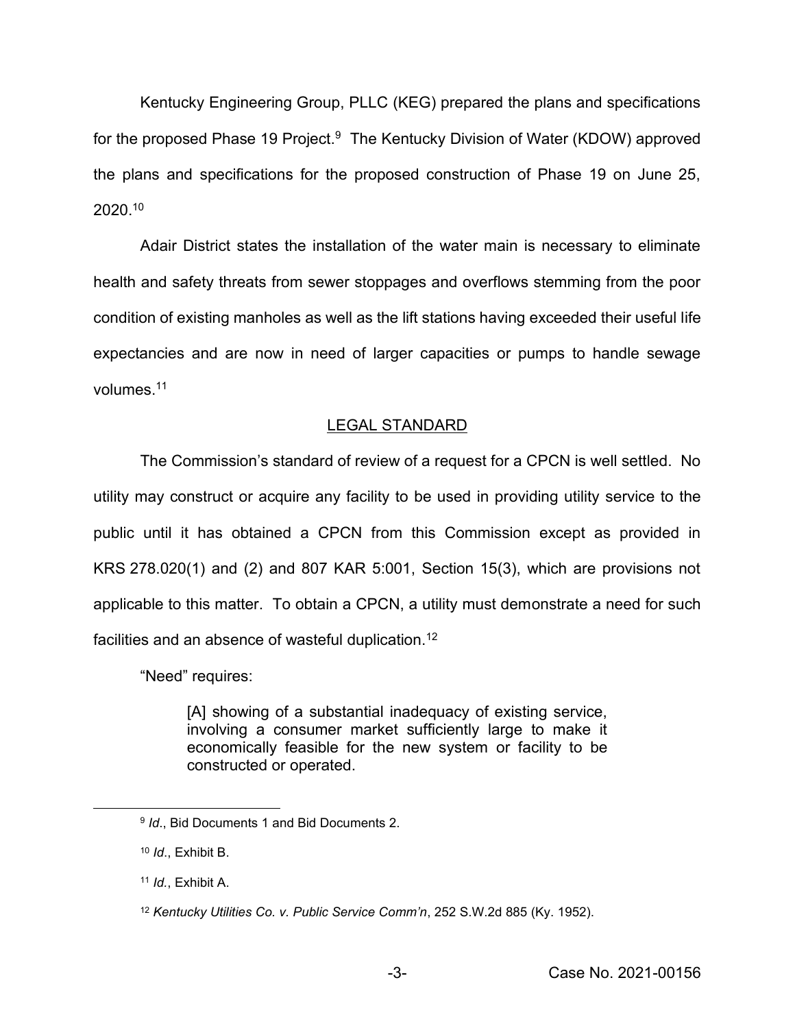Kentucky Engineering Group, PLLC (KEG) prepared the plans and specifications for the proposed Phase 19 Project. $9$  The Kentucky Division of Water (KDOW) approved the plans and specifications for the proposed construction of Phase 19 on June 25, 2020.10

Adair District states the installation of the water main is necessary to eliminate health and safety threats from sewer stoppages and overflows stemming from the poor condition of existing manholes as well as the lift stations having exceeded their useful life expectancies and are now in need of larger capacities or pumps to handle sewage volumes.11

# LEGAL STANDARD

The Commission's standard of review of a request for a CPCN is well settled. No utility may construct or acquire any facility to be used in providing utility service to the public until it has obtained a CPCN from this Commission except as provided in KRS 278.020(1) and (2) and 807 KAR 5:001, Section 15(3), which are provisions not applicable to this matter. To obtain a CPCN, a utility must demonstrate a need for such facilities and an absence of wasteful duplication.12

"Need" requires:

[A] showing of a substantial inadequacy of existing service, involving a consumer market sufficiently large to make it economically feasible for the new system or facility to be constructed or operated.

<sup>9</sup> *Id*., Bid Documents 1 and Bid Documents 2.

<sup>10</sup> *Id*., Exhibit B.

<sup>11</sup> *Id.*, Exhibit A.

<sup>12</sup> *Kentucky Utilities Co. v. Public Service Comm'n*, 252 S.W.2d 885 (Ky. 1952).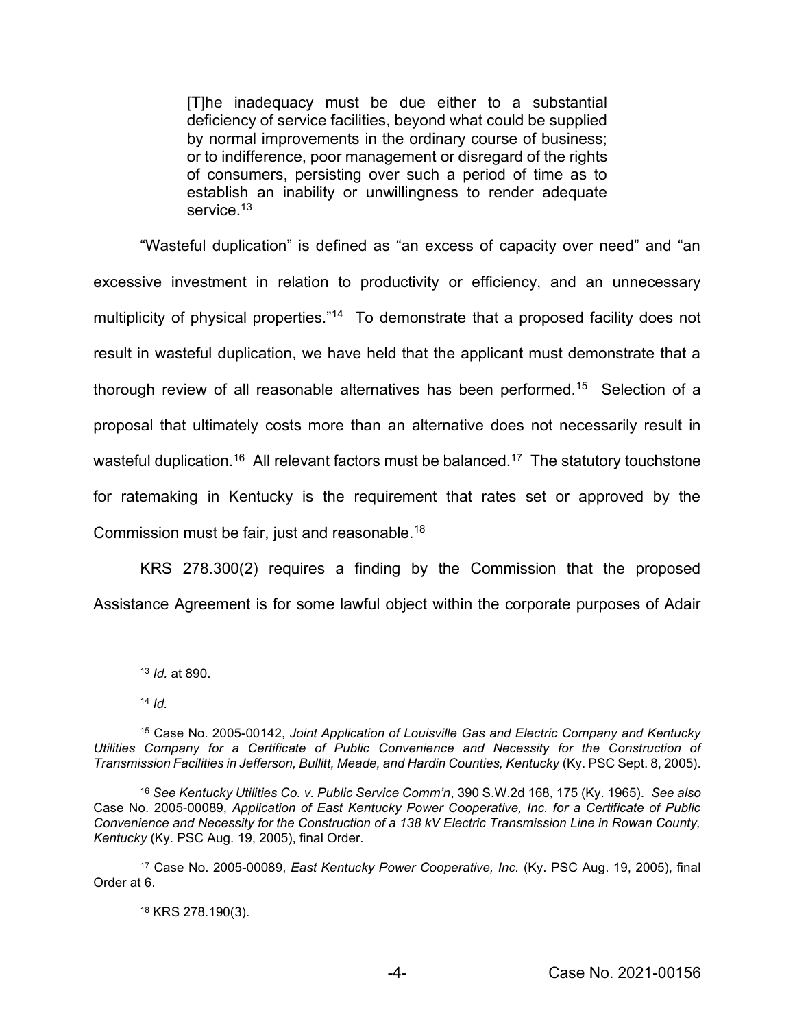[T]he inadequacy must be due either to a substantial deficiency of service facilities, beyond what could be supplied by normal improvements in the ordinary course of business; or to indifference, poor management or disregard of the rights of consumers, persisting over such a period of time as to establish an inability or unwillingness to render adequate service.<sup>13</sup>

"Wasteful duplication" is defined as "an excess of capacity over need" and "an excessive investment in relation to productivity or efficiency, and an unnecessary multiplicity of physical properties."<sup>14</sup> To demonstrate that a proposed facility does not result in wasteful duplication, we have held that the applicant must demonstrate that a thorough review of all reasonable alternatives has been performed.15 Selection of a proposal that ultimately costs more than an alternative does not necessarily result in wasteful duplication.<sup>16</sup> All relevant factors must be balanced.<sup>17</sup> The statutory touchstone for ratemaking in Kentucky is the requirement that rates set or approved by the Commission must be fair, just and reasonable.18

KRS 278.300(2) requires a finding by the Commission that the proposed Assistance Agreement is for some lawful object within the corporate purposes of Adair

<sup>13</sup> *Id.* at 890.

<sup>14</sup> *Id.*

<sup>18</sup> KRS 278.190(3).

<sup>15</sup> Case No. 2005-00142, *Joint Application of Louisville Gas and Electric Company and Kentucky*  Utilities Company for a Certificate of Public Convenience and Necessity for the Construction of *Transmission Facilities in Jefferson, Bullitt, Meade, and Hardin Counties, Kentucky* (Ky. PSC Sept. 8, 2005).

<sup>16</sup> *See Kentucky Utilities Co. v. Public Service Comm'n*, 390 S.W.2d 168, 175 (Ky. 1965). *See also* Case No. 2005-00089, *Application of East Kentucky Power Cooperative, Inc. for a Certificate of Public Convenience and Necessity for the Construction of a 138 kV Electric Transmission Line in Rowan County, Kentucky* (Ky. PSC Aug. 19, 2005), final Order.

<sup>17</sup> Case No. 2005-00089, *East Kentucky Power Cooperative, Inc.* (Ky. PSC Aug. 19, 2005), final Order at 6.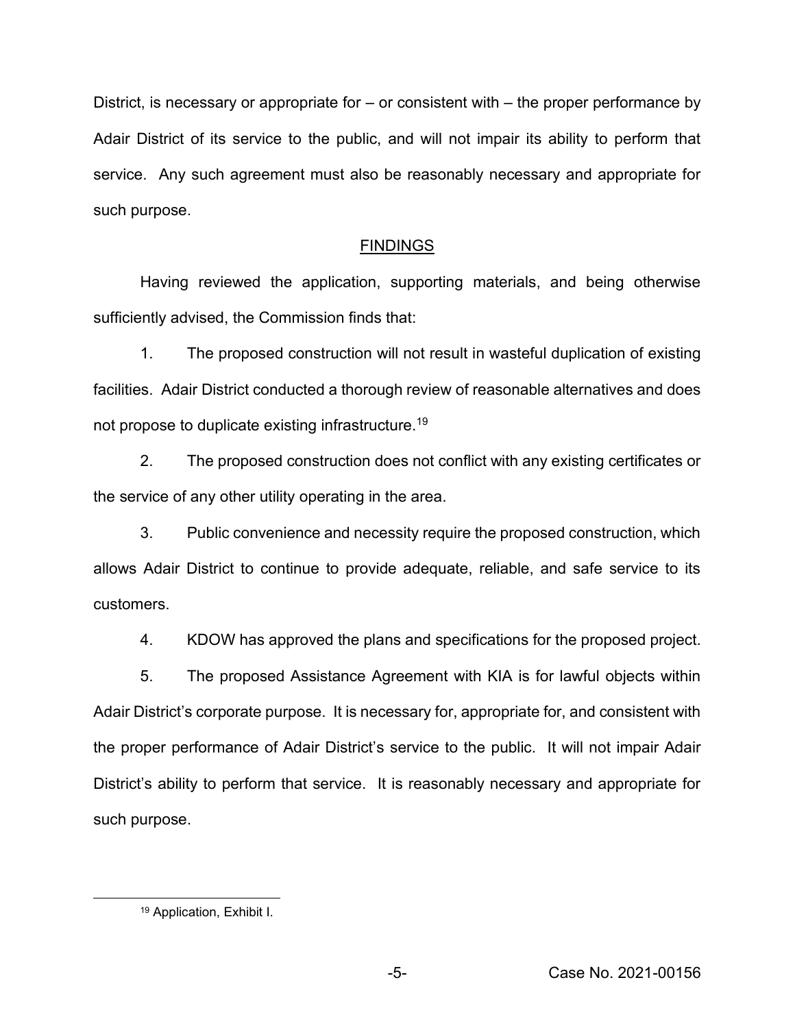District, is necessary or appropriate for  $-$  or consistent with  $-$  the proper performance by Adair District of its service to the public, and will not impair its ability to perform that service. Any such agreement must also be reasonably necessary and appropriate for such purpose.

# FINDINGS

Having reviewed the application, supporting materials, and being otherwise sufficiently advised, the Commission finds that:

1. The proposed construction will not result in wasteful duplication of existing facilities. Adair District conducted a thorough review of reasonable alternatives and does not propose to duplicate existing infrastructure.19

2. The proposed construction does not conflict with any existing certificates or the service of any other utility operating in the area.

3. Public convenience and necessity require the proposed construction, which allows Adair District to continue to provide adequate, reliable, and safe service to its customers.

4. KDOW has approved the plans and specifications for the proposed project.

5. The proposed Assistance Agreement with KIA is for lawful objects within Adair District's corporate purpose. It is necessary for, appropriate for, and consistent with the proper performance of Adair District's service to the public. It will not impair Adair District's ability to perform that service. It is reasonably necessary and appropriate for such purpose.

<sup>19</sup> Application, Exhibit I.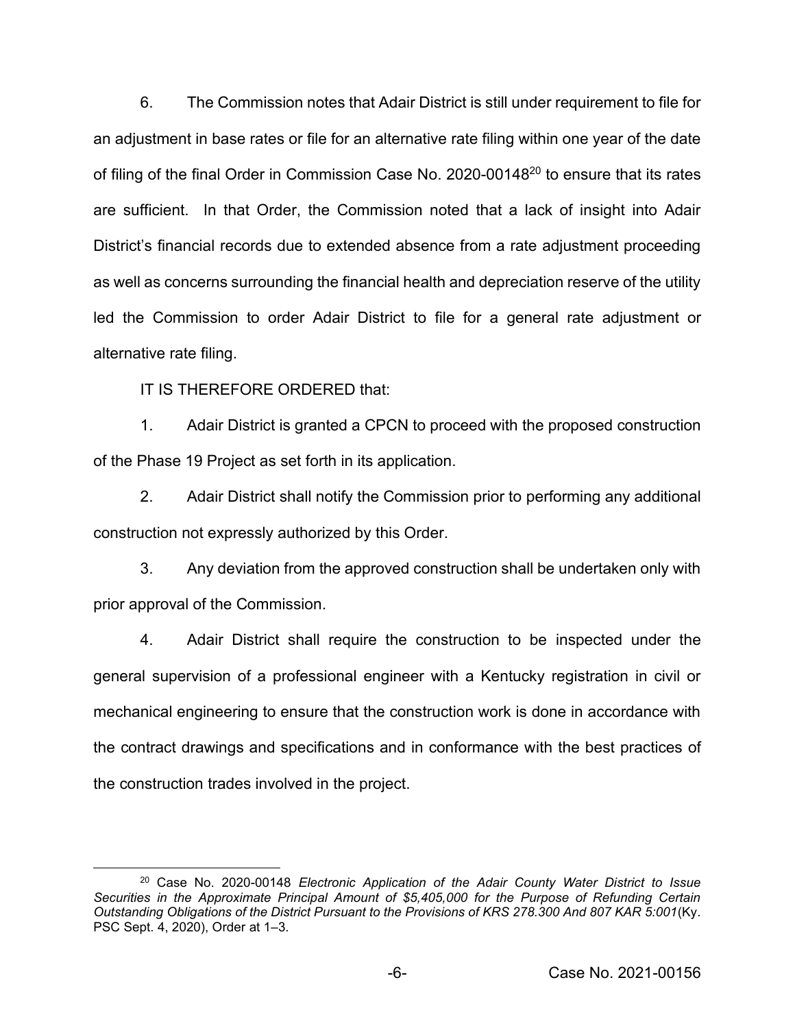6. The Commission notes that Adair District is still under requirement to file for an adjustment in base rates or file for an alternative rate filing within one year of the date of filing of the final Order in Commission Case No. 2020-0014820 to ensure that its rates are sufficient. In that Order, the Commission noted that a lack of insight into Adair District's financial records due to extended absence from a rate adjustment proceeding as well as concerns surrounding the financial health and depreciation reserve of the utility led the Commission to order Adair District to file for a general rate adjustment or alternative rate filing.

IT IS THEREFORE ORDERED that:

1. Adair District is granted a CPCN to proceed with the proposed construction of the Phase 19 Project as set forth in its application.

2. Adair District shall notify the Commission prior to performing any additional construction not expressly authorized by this Order.

3. Any deviation from the approved construction shall be undertaken only with prior approval of the Commission.

4. Adair District shall require the construction to be inspected under the general supervision of a professional engineer with a Kentucky registration in civil or mechanical engineering to ensure that the construction work is done in accordance with the contract drawings and specifications and in conformance with the best practices of the construction trades involved in the project.

<sup>20</sup> Case No. 2020-00148 *Electronic Application of the Adair County Water District to Issue Securities in the Approximate Principal Amount of \$5,405,000 for the Purpose of Refunding Certain Outstanding Obligations of the District Pursuant to the Provisions of KRS 278.300 And 807 KAR 5:001*(Ky. PSC Sept. 4, 2020), Order at 1–3.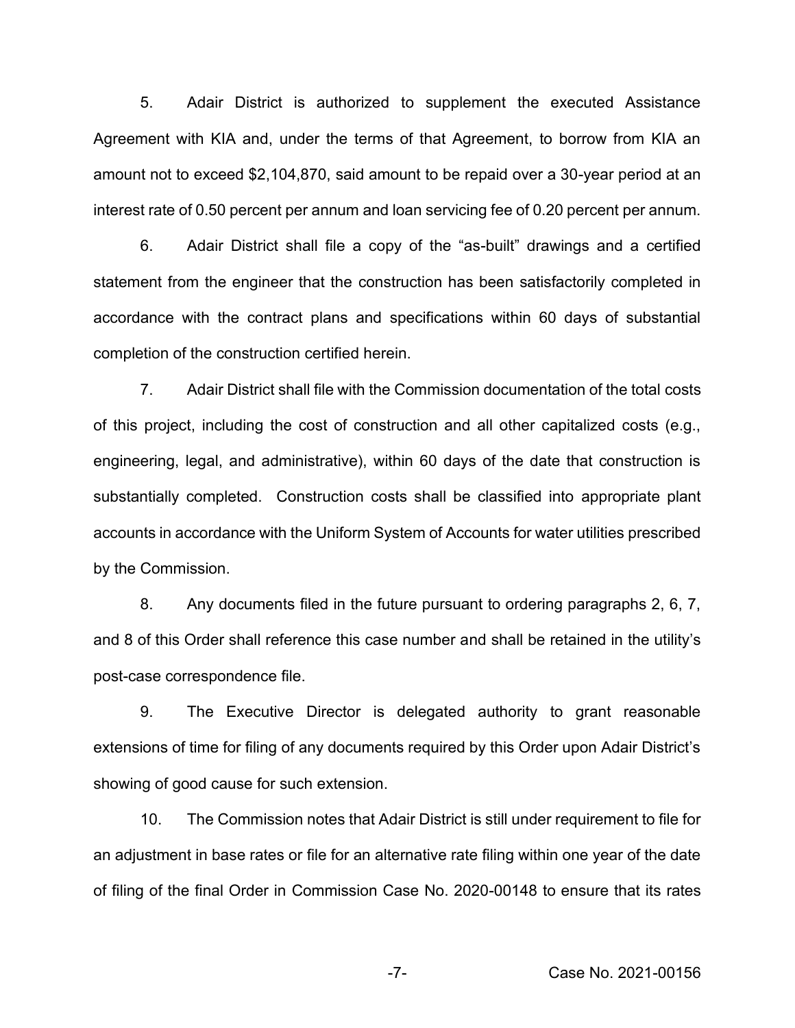5. Adair District is authorized to supplement the executed Assistance Agreement with KIA and, under the terms of that Agreement, to borrow from KIA an amount not to exceed \$2,104,870, said amount to be repaid over a 30-year period at an interest rate of 0.50 percent per annum and loan servicing fee of 0.20 percent per annum.

6. Adair District shall file a copy of the "as-built" drawings and a certified statement from the engineer that the construction has been satisfactorily completed in accordance with the contract plans and specifications within 60 days of substantial completion of the construction certified herein.

7. Adair District shall file with the Commission documentation of the total costs of this project, including the cost of construction and all other capitalized costs (e.g., engineering, legal, and administrative), within 60 days of the date that construction is substantially completed. Construction costs shall be classified into appropriate plant accounts in accordance with the Uniform System of Accounts for water utilities prescribed by the Commission.

8. Any documents filed in the future pursuant to ordering paragraphs 2, 6, 7, and 8 of this Order shall reference this case number and shall be retained in the utility's post-case correspondence file.

9. The Executive Director is delegated authority to grant reasonable extensions of time for filing of any documents required by this Order upon Adair District's showing of good cause for such extension.

10. The Commission notes that Adair District is still under requirement to file for an adjustment in base rates or file for an alternative rate filing within one year of the date of filing of the final Order in Commission Case No. 2020-00148 to ensure that its rates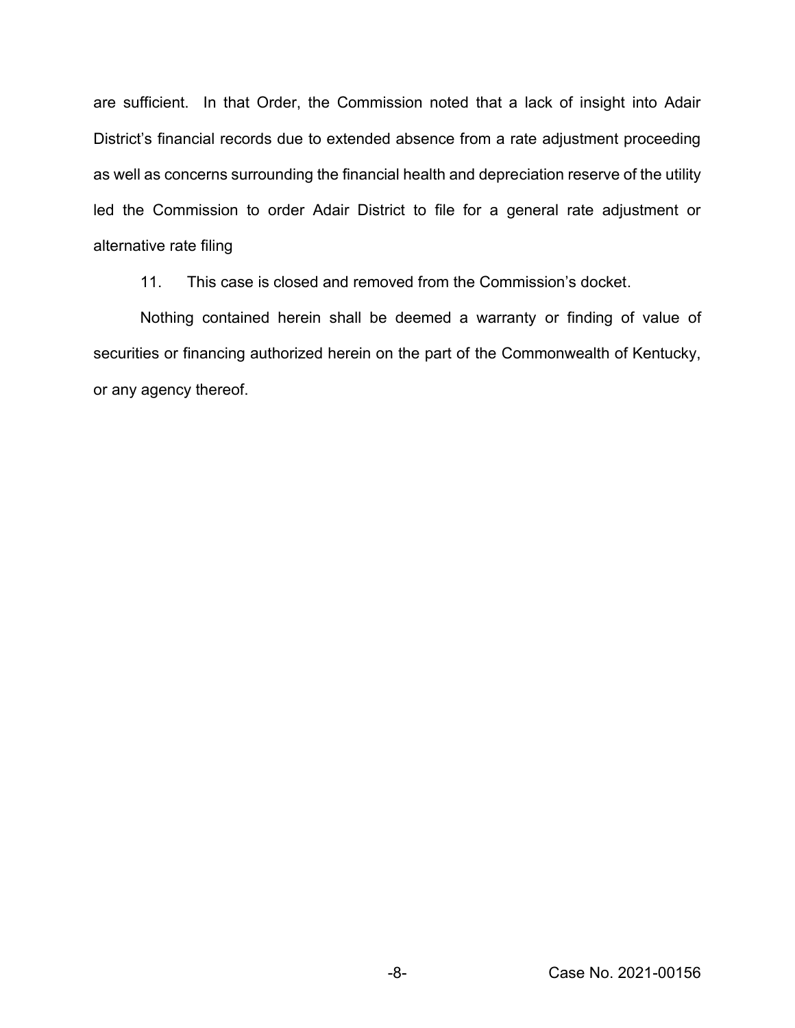are sufficient. In that Order, the Commission noted that a lack of insight into Adair District's financial records due to extended absence from a rate adjustment proceeding as well as concerns surrounding the financial health and depreciation reserve of the utility led the Commission to order Adair District to file for a general rate adjustment or alternative rate filing

11. This case is closed and removed from the Commission's docket.

Nothing contained herein shall be deemed a warranty or finding of value of securities or financing authorized herein on the part of the Commonwealth of Kentucky, or any agency thereof.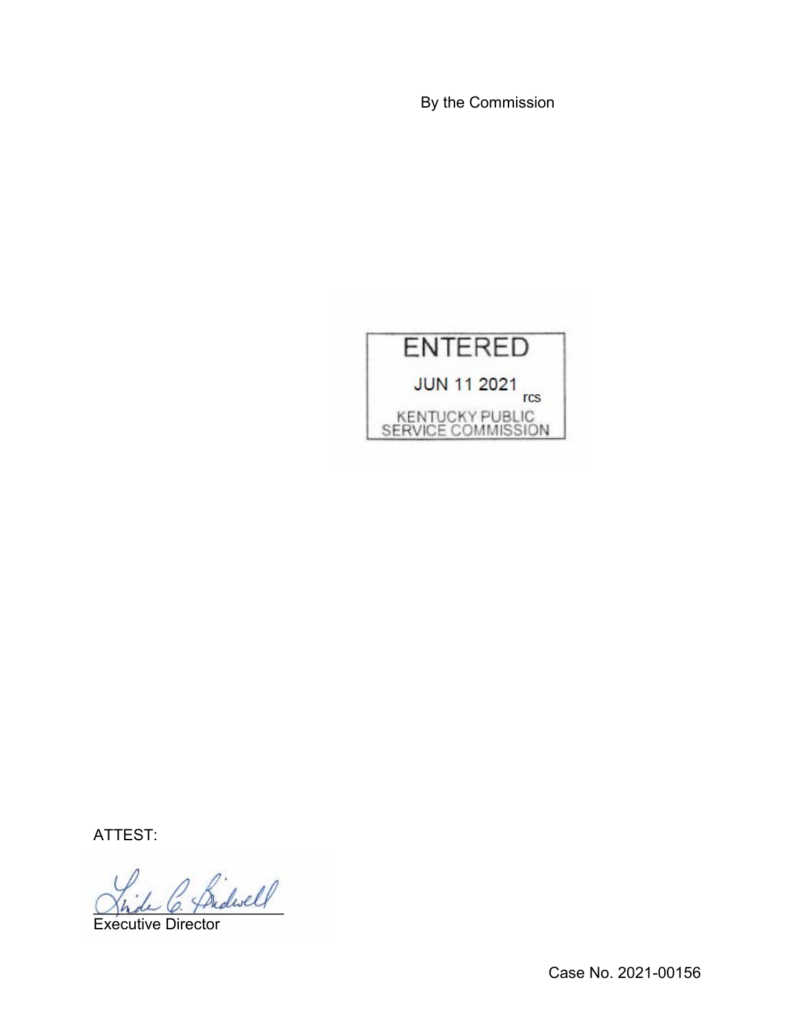By the Commission



ATTEST:

 $\sim$  Sidwell

Executive Director

Case No. 2021-00156